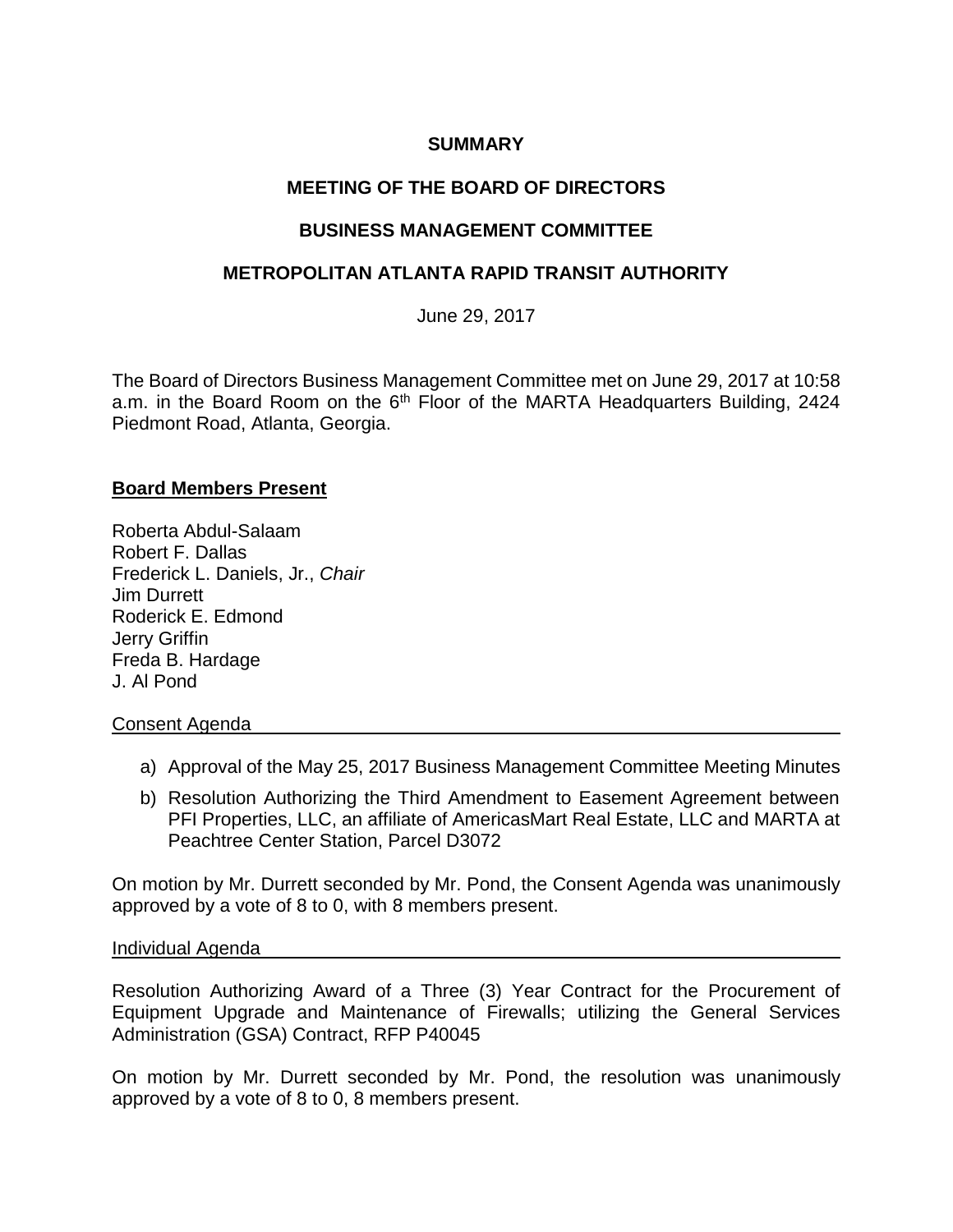## **SUMMARY**

# **MEETING OF THE BOARD OF DIRECTORS**

## **BUSINESS MANAGEMENT COMMITTEE**

## **METROPOLITAN ATLANTA RAPID TRANSIT AUTHORITY**

June 29, 2017

The Board of Directors Business Management Committee met on June 29, 2017 at 10:58 a.m. in the Board Room on the  $6<sup>th</sup>$  Floor of the MARTA Headquarters Building, 2424 Piedmont Road, Atlanta, Georgia.

### **Board Members Present**

Roberta Abdul-Salaam Robert F. Dallas Frederick L. Daniels, Jr., *Chair*  Jim Durrett Roderick E. Edmond Jerry Griffin Freda B. Hardage J. Al Pond

### Consent Agenda

- a) Approval of the May 25, 2017 Business Management Committee Meeting Minutes
- b) Resolution Authorizing the Third Amendment to Easement Agreement between PFI Properties, LLC, an affiliate of AmericasMart Real Estate, LLC and MARTA at Peachtree Center Station, Parcel D3072

On motion by Mr. Durrett seconded by Mr. Pond, the Consent Agenda was unanimously approved by a vote of 8 to 0, with 8 members present.

### Individual Agenda

Resolution Authorizing Award of a Three (3) Year Contract for the Procurement of Equipment Upgrade and Maintenance of Firewalls; utilizing the General Services Administration (GSA) Contract, RFP P40045

On motion by Mr. Durrett seconded by Mr. Pond, the resolution was unanimously approved by a vote of 8 to 0, 8 members present.